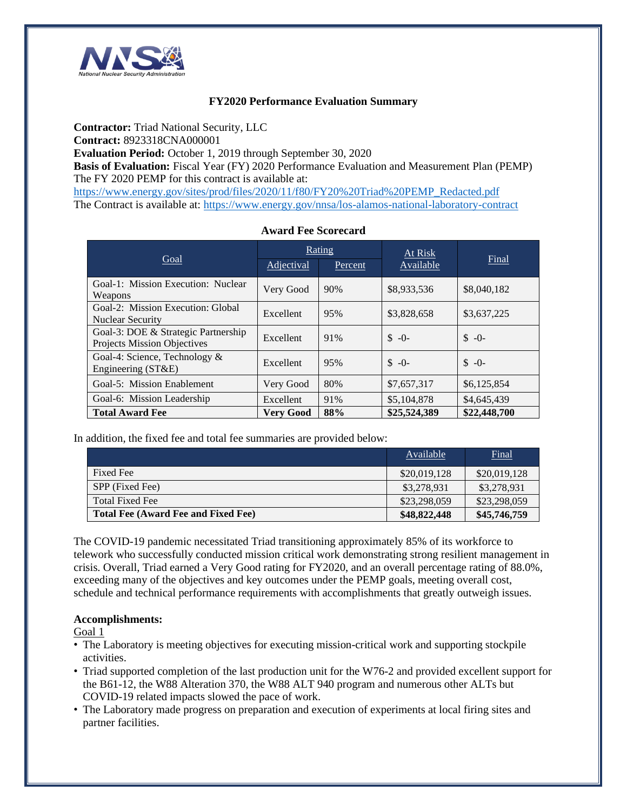

### **FY2020 Performance Evaluation Summary**

**Contractor:** Triad National Security, LLC

**Contract:** 8923318CNA000001

**Evaluation Period:** October 1, 2019 through September 30, 2020

**Basis of Evaluation:** Fiscal Year (FY) 2020 Performance Evaluation and Measurement Plan (PEMP) The FY 2020 PEMP for this contract is available at:

[https://www.energy.gov/sites/prod/files/2020/11/f80/FY20%20Triad%20PEMP\\_Redacted.pdf](https://www.energy.gov/sites/prod/files/2020/11/f80/FY20%20Triad%20PEMP_Redacted.pdf) The Contract is available at:<https://www.energy.gov/nnsa/los-alamos-national-laboratory-contract>

| Goal                                                               | Rating           |         | At Risk      |              |
|--------------------------------------------------------------------|------------------|---------|--------------|--------------|
|                                                                    | Adjectival       | Percent | Available    | Final        |
| Goal-1: Mission Execution: Nuclear<br>Weapons                      | Very Good        | 90%     | \$8,933,536  | \$8,040,182  |
| Goal-2: Mission Execution: Global<br><b>Nuclear Security</b>       | Excellent        | 95%     | \$3,828,658  | \$3,637,225  |
| Goal-3: DOE & Strategic Partnership<br>Projects Mission Objectives | Excellent        | 91%     | $S - 0$      | $S - 0$      |
| Goal-4: Science, Technology &<br>Engineering $(ST&E)$              | Excellent        | 95%     | $S - 0$      | $S - 0$      |
| Goal-5: Mission Enablement                                         | Very Good        | 80%     | \$7,657,317  | \$6,125,854  |
| Goal-6: Mission Leadership                                         | Excellent        | 91%     | \$5,104,878  | \$4,645,439  |
| <b>Total Award Fee</b>                                             | <b>Very Good</b> | 88%     | \$25,524,389 | \$22,448,700 |

#### **Award Fee Scorecard**

In addition, the fixed fee and total fee summaries are provided below:

|                                            | Available    | <b>Final</b> |
|--------------------------------------------|--------------|--------------|
| Fixed Fee                                  | \$20,019,128 | \$20,019,128 |
| SPP (Fixed Fee)                            | \$3,278,931  | \$3,278,931  |
| <b>Total Fixed Fee</b>                     | \$23,298,059 | \$23,298,059 |
| <b>Total Fee (Award Fee and Fixed Fee)</b> | \$48,822,448 | \$45,746,759 |

The COVID-19 pandemic necessitated Triad transitioning approximately 85% of its workforce to telework who successfully conducted mission critical work demonstrating strong resilient management in crisis. Overall, Triad earned a Very Good rating for FY2020, and an overall percentage rating of 88.0%, exceeding many of the objectives and key outcomes under the PEMP goals, meeting overall cost, schedule and technical performance requirements with accomplishments that greatly outweigh issues.

#### **Accomplishments:**

Goal 1

- The Laboratory is meeting objectives for executing mission-critical work and supporting stockpile activities.
- Triad supported completion of the last production unit for the W76-2 and provided excellent support for the B61-12, the W88 Alteration 370, the W88 ALT 940 program and numerous other ALTs but COVID-19 related impacts slowed the pace of work.
- The Laboratory made progress on preparation and execution of experiments at local firing sites and partner facilities.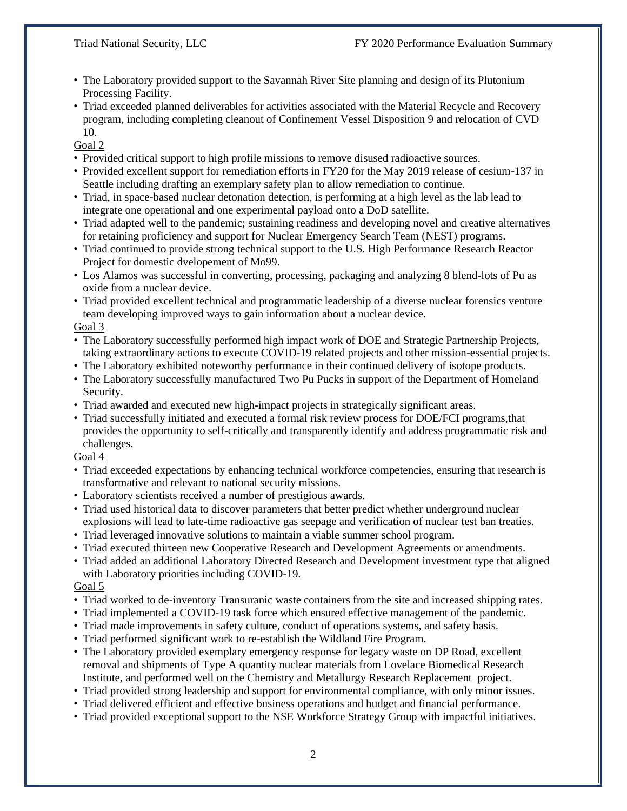- The Laboratory provided support to the Savannah River Site planning and design of its Plutonium Processing Facility.
- Triad exceeded planned deliverables for activities associated with the Material Recycle and Recovery program, including completing cleanout of Confinement Vessel Disposition 9 and relocation of CVD 10.

Goal 2

- Provided critical support to high profile missions to remove disused radioactive sources.
- Provided excellent support for remediation efforts in FY20 for the May 2019 release of cesium-137 in Seattle including drafting an exemplary safety plan to allow remediation to continue.
- Triad, in space-based nuclear detonation detection, is performing at a high level as the lab lead to integrate one operational and one experimental payload onto a DoD satellite.
- Triad adapted well to the pandemic; sustaining readiness and developing novel and creative alternatives for retaining proficiency and support for Nuclear Emergency Search Team (NEST) programs.
- Triad continued to provide strong technical support to the U.S. High Performance Research Reactor Project for domestic dvelopement of Mo99.
- Los Alamos was successful in converting, processing, packaging and analyzing 8 blend-lots of Pu as oxide from a nuclear device.
- Triad provided excellent technical and programmatic leadership of a diverse nuclear forensics venture team developing improved ways to gain information about a nuclear device.

#### Goal 3

- The Laboratory successfully performed high impact work of DOE and Strategic Partnership Projects, taking extraordinary actions to execute COVID-19 related projects and other mission-essential projects.
- The Laboratory exhibited noteworthy performance in their continued delivery of isotope products.
- The Laboratory successfully manufactured Two Pu Pucks in support of the Department of Homeland Security.
- Triad awarded and executed new high-impact projects in strategically significant areas.
- Triad successfully initiated and executed a formal risk review process for DOE/FCI programs,that provides the opportunity to self-critically and transparently identify and address programmatic risk and challenges.

Goal 4

- Triad exceeded expectations by enhancing technical workforce competencies, ensuring that research is transformative and relevant to national security missions.
- Laboratory scientists received a number of prestigious awards.
- Triad used historical data to discover parameters that better predict whether underground nuclear explosions will lead to late-time radioactive gas seepage and verification of nuclear test ban treaties.
- Triad leveraged innovative solutions to maintain a viable summer school program.
- Triad executed thirteen new Cooperative Research and Development Agreements or amendments.
- Triad added an additional Laboratory Directed Research and Development investment type that aligned with Laboratory priorities including COVID-19.

Goal 5

- Triad worked to de-inventory Transuranic waste containers from the site and increased shipping rates.
- Triad implemented a COVID-19 task force which ensured effective management of the pandemic.
- Triad made improvements in safety culture, conduct of operations systems, and safety basis.
- Triad performed significant work to re-establish the Wildland Fire Program.
- The Laboratory provided exemplary emergency response for legacy waste on DP Road, excellent removal and shipments of Type A quantity nuclear materials from Lovelace Biomedical Research Institute, and performed well on the Chemistry and Metallurgy Research Replacement project.
- Triad provided strong leadership and support for environmental compliance, with only minor issues.
- Triad delivered efficient and effective business operations and budget and financial performance.
- Triad provided exceptional support to the NSE Workforce Strategy Group with impactful initiatives.